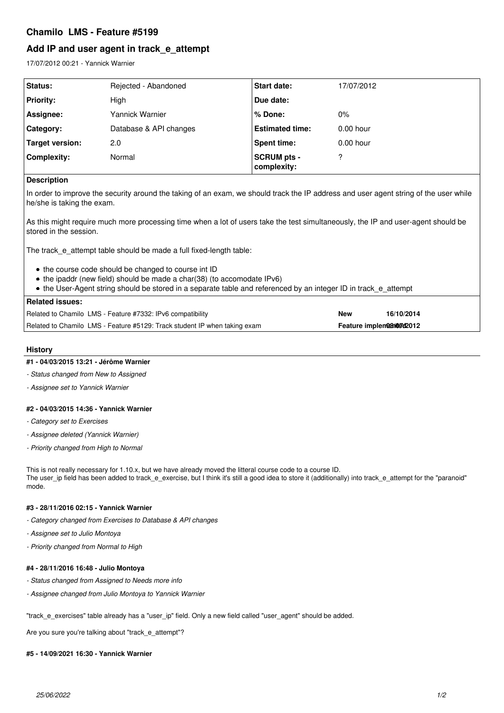## **Chamilo LMS - Feature #5199**

# **Add IP and user agent in track\_e\_attempt**

17/07/2012 00:21 - Yannick Warnier

| <b>Status:</b>   | Rejected - Abandoned   | Start date:                       | 17/07/2012  |
|------------------|------------------------|-----------------------------------|-------------|
| <b>Priority:</b> | High                   | Due date:                         |             |
| Assignee:        | Yannick Warnier        | % Done:                           | $0\%$       |
| Category:        | Database & API changes | <b>Estimated time:</b>            | $0.00$ hour |
| Target version:  | 2.0                    | <b>Spent time:</b>                | $0.00$ hour |
| Complexity:      | Normal                 | <b>SCRUM pts -</b><br>complexity: | 2           |

### **Description**

In order to improve the security around the taking of an exam, we should track the IP address and user agent string of the user while he/she is taking the exam.

As this might require much more processing time when a lot of users take the test simultaneously, the IP and user-agent should be stored in the session.

The track\_e\_attempt table should be made a full fixed-length table:

- the course code should be changed to course int ID
- the ipaddr (new field) should be made a char(38) (to accomodate IPv6)
- the User-Agent string should be stored in a separate table and referenced by an integer ID in track\_e\_attempt

#### **Related issues:**

Related to Chamilo LMS - Feature #7332: IPv6 compatibility **New 16/10/2014** Related to Chamilo LMS - Feature #5129: Track student IP when taking exam **Feature implemented COV Product** 

### **History**

#### **#1 - 04/03/2015 13:21 - Jérôme Warnier**

- *Status changed from New to Assigned*
- *Assignee set to Yannick Warnier*

#### **#2 - 04/03/2015 14:36 - Yannick Warnier**

- *Category set to Exercises*
- *Assignee deleted (Yannick Warnier)*
- *Priority changed from High to Normal*

This is not really necessary for 1.10.x, but we have already moved the litteral course code to a course ID. The user ip field has been added to track e exercise, but I think it's still a good idea to store it (additionally) into track e attempt for the "paranoid" mode.

## **#3 - 28/11/2016 02:15 - Yannick Warnier**

- *Category changed from Exercises to Database & API changes*
- *Assignee set to Julio Montoya*
- *Priority changed from Normal to High*

#### **#4 - 28/11/2016 16:48 - Julio Montoya**

- *Status changed from Assigned to Needs more info*
- *Assignee changed from Julio Montoya to Yannick Warnier*

"track\_e\_exercises" table already has a "user\_ip" field. Only a new field called "user\_agent" should be added.

Are you sure you're talking about "track e attempt"?

#### **#5 - 14/09/2021 16:30 - Yannick Warnier**